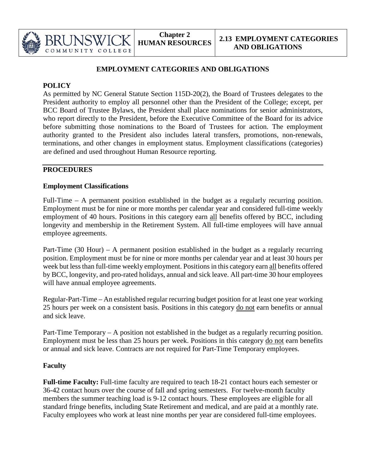

### **POLICY**

COMMUNITY

As permitted by NC General Statute Section 115D-20(2), the Board of Trustees delegates to the President authority to employ all personnel other than the President of the College; except, per BCC Board of Trustee Bylaws, the President shall place nominations for senior administrators, who report directly to the President, before the Executive Committee of the Board for its advice before submitting those nominations to the Board of Trustees for action. The employment authority granted to the President also includes lateral transfers, promotions, non-renewals, terminations, and other changes in employment status. Employment classifications (categories) are defined and used throughout Human Resource reporting.

# **PROCEDURES**

### **Employment Classifications**

Full-Time – A permanent position established in the budget as a regularly recurring position. Employment must be for nine or more months per calendar year and considered full-time weekly employment of 40 hours. Positions in this category earn all benefits offered by BCC, including longevity and membership in the Retirement System. All full-time employees will have annual employee agreements.

Part-Time (30 Hour) – A permanent position established in the budget as a regularly recurring position. Employment must be for nine or more months per calendar year and at least 30 hours per week but less than full-time weekly employment. Positions in this category earn all benefits offered by BCC, longevity, and pro-rated holidays, annual and sick leave. All part-time 30 hour employees will have annual employee agreements.

Regular-Part-Time – An established regular recurring budget position for at least one year working 25 hours per week on a consistent basis. Positions in this category do not earn benefits or annual and sick leave.

Part-Time Temporary – A position not established in the budget as a regularly recurring position. Employment must be less than 25 hours per week. Positions in this category do not earn benefits or annual and sick leave. Contracts are not required for Part-Time Temporary employees.

## **Faculty**

**Full-time Faculty:** Full-time faculty are required to teach 18-21 contact hours each semester or 36-42 contact hours over the course of fall and spring semesters. For twelve-month faculty members the summer teaching load is 9-12 contact hours. These employees are eligible for all standard fringe benefits, including State Retirement and medical, and are paid at a monthly rate. Faculty employees who work at least nine months per year are considered full-time employees.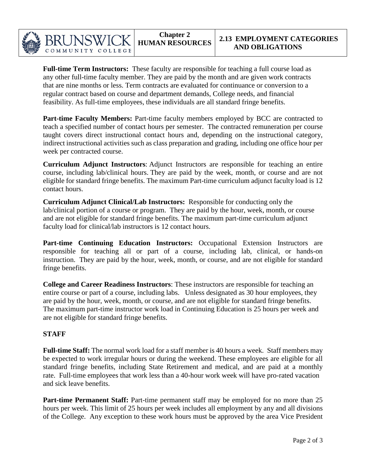

**Full-time Term Instructors:** These faculty are responsible for teaching a full course load as any other full-time faculty member. They are paid by the month and are given work contracts that are nine months or less. Term contracts are evaluated for continuance or conversion to a regular contract based on course and department demands, College needs, and financial feasibility. As full-time employees, these individuals are all standard fringe benefits.

Part-time Faculty Members: Part-time faculty members employed by BCC are contracted to teach a specified number of contact hours per semester. The contracted remuneration per course taught covers direct instructional contact hours and, depending on the instructional category, indirect instructional activities such as class preparation and grading, including one office hour per week per contracted course.

**Curriculum Adjunct Instructors**: Adjunct Instructors are responsible for teaching an entire course, including lab/clinical hours. They are paid by the week, month, or course and are not eligible for standard fringe benefits. The maximum Part-time curriculum adjunct faculty load is 12 contact hours.

**Curriculum Adjunct Clinical/Lab Instructors:** Responsible for conducting only the lab/clinical portion of a course or program. They are paid by the hour, week, month, or course and are not eligible for standard fringe benefits. The maximum part-time curriculum adjunct faculty load for clinical/lab instructors is 12 contact hours.

**Part-time Continuing Education Instructors:** Occupational Extension Instructors are responsible for teaching all or part of a course, including lab, clinical, or hands-on instruction. They are paid by the hour, week, month, or course, and are not eligible for standard fringe benefits.

**College and Career Readiness Instructors**: These instructors are responsible for teaching an entire course or part of a course, including labs. Unless designated as 30 hour employees, they are paid by the hour, week, month, or course, and are not eligible for standard fringe benefits. The maximum part-time instructor work load in Continuing Education is 25 hours per week and are not eligible for standard fringe benefits.

#### **STAFF**

**Full-time Staff:** The normal work load for a staff member is 40 hours a week. Staff members may be expected to work irregular hours or during the weekend. These employees are eligible for all standard fringe benefits, including State Retirement and medical, and are paid at a monthly rate. Full-time employees that work less than a 40-hour work week will have pro-rated vacation and sick leave benefits.

**Part-time Permanent Staff:** Part-time permanent staff may be employed for no more than 25 hours per week. This limit of 25 hours per week includes all employment by any and all divisions of the College. Any exception to these work hours must be approved by the area Vice President